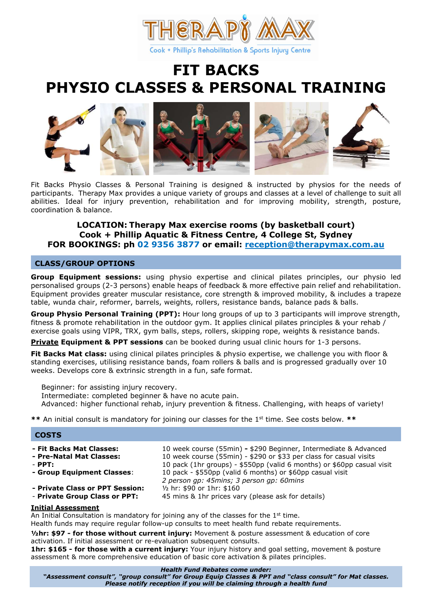

# FIT BACKS PHYSIO CLASSES & PERSONAL TRAINING



Fit Backs Physio Classes & Personal Training is designed & instructed by physios for the needs of participants. Therapy Max provides a unique variety of groups and classes at a level of challenge to suit all abilities. Ideal for injury prevention, rehabilitation and for improving mobility, strength, posture, coordination & balance.

# LOCATION: Therapy Max exercise rooms (by basketball court) Cook + Phillip Aquatic & Fitness Centre, 4 College St, Sydney FOR BOOKINGS: ph 02 9356 3877 or email: reception@therapymax.com.au

#### ī CLASS/GROUP OPTIONS

Group Equipment sessions: using physio expertise and clinical pilates principles, our physio led personalised groups (2-3 persons) enable heaps of feedback & more effective pain relief and rehabilitation. Equipment provides greater muscular resistance, core strength & improved mobility, & includes a trapeze table, wunda chair, reformer, barrels, weights, rollers, resistance bands, balance pads & balls.

Group Physio Personal Training (PPT): Hour long groups of up to 3 participants will improve strength, fitness & promote rehabilitation in the outdoor gym. It applies clinical pilates principles & your rehab / exercise goals using VIPR, TRX, gym balls, steps, rollers, skipping rope, weights & resistance bands.

**Private Equipment & PPT sessions** can be booked during usual clinic hours for 1-3 persons.

**Fit Backs Mat class:** using clinical pilates principles & physio expertise, we challenge you with floor & standing exercises, utilising resistance bands, foam rollers & balls and is progressed gradually over 10 weeks. Develops core & extrinsic strength in a fun, safe format.

 Beginner: for assisting injury recovery. Intermediate: completed beginner & have no acute pain. Advanced: higher functional rehab, injury prevention & fitness. Challenging, with heaps of variety!

\*\* An initial consult is mandatory for joining our classes for the  $1<sup>st</sup>$  time. See costs below. \*\*

#### ł **COSTS**

| - Fit Backs Mat Classes:        | 10 week course (55min) - \$290 Beginner, Intermediate & Advanced                                      |
|---------------------------------|-------------------------------------------------------------------------------------------------------|
| - Pre-Natal Mat Classes:        | 10 week course (55min) - \$290 or \$33 per class for casual visits                                    |
| $-$ PPT:                        | 10 pack (1hr groups) - \$550pp (valid 6 months) or \$60pp casual visit                                |
| - Group Equipment Classes:      | 10 pack - \$550pp (valid 6 months) or \$60pp casual visit<br>2 person gp: 45mins; 3 person gp: 60mins |
| - Private Class or PPT Session: | $\frac{1}{2}$ hr: \$90 or 1hr: \$160                                                                  |
| - Private Group Class or PPT:   | 45 mins & 1hr prices vary (please ask for details)                                                    |

#### Initial Assessment

An Initial Consultation is mandatory for joining any of the classes for the  $1<sup>st</sup>$  time. Health funds may require regular follow-up consults to meet health fund rebate requirements.

1/2hr: \$97 - for those without current injury: Movement & posture assessment & education of core activation. If initial assessment or re-evaluation subsequent consults.

1hr: \$165 - for those with a current injury: Your injury history and goal setting, movement & posture assessment & more comprehensive education of basic core activation & pilates principles.

#### Health Fund Rebates come under:

"Assessment consult", "group consult" for Group Equip Classes & PPT and "class consult" for Mat classes. Please notify reception if you will be claiming through a health fund